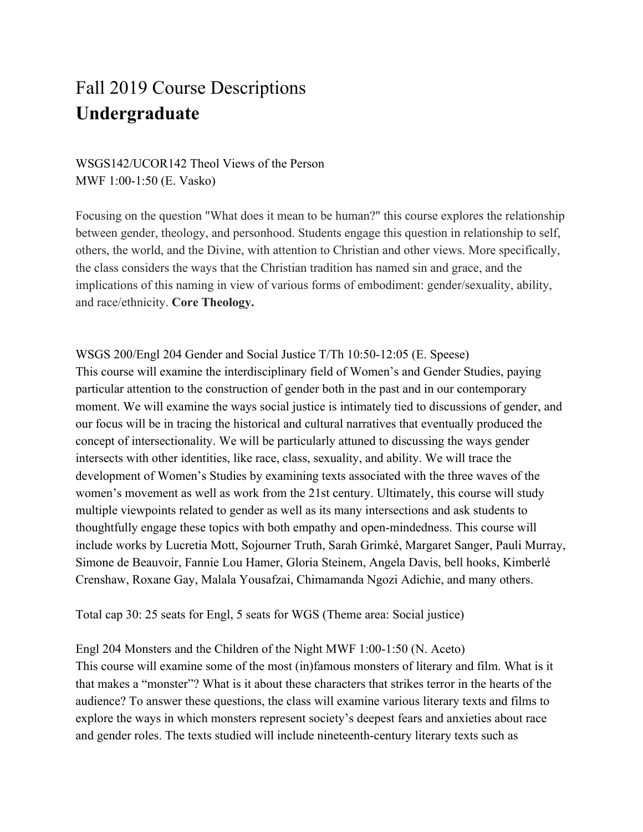# Fall 2019 Course Descriptions **Undergraduate**

## WSGS142/UCOR142 Theol Views of the Person MWF 1:00-1:50 (E. Vasko)

Focusing on the question "What does it mean to be human?" this course explores the relationship between gender, theology, and personhood. Students engage this question in relationship to self, others, the world, and the Divine, with attention to Christian and other views. More specifically, the class considers the ways that the Christian tradition has named sin and grace, and the implications of this naming in view of various forms of embodiment: gender/sexuality, ability, and race/ethnicity. **Core Theology.**

WSGS 200/Engl 204 Gender and Social Justice T/Th 10:50-12:05 (E. Speese) This course will examine the interdisciplinary field of Women's and Gender Studies, paying particular attention to the construction of gender both in the past and in our contemporary moment. We will examine the ways social justice is intimately tied to discussions of gender, and our focus will be in tracing the historical and cultural narratives that eventually produced the concept of intersectionality. We will be particularly attuned to discussing the ways gender intersects with other identities, like race, class, sexuality, and ability. We will trace the development of Women's Studies by examining texts associated with the three waves of the women's movement as well as work from the 21st century. Ultimately, this course will study multiple viewpoints related to gender as well as its many intersections and ask students to thoughtfully engage these topics with both empathy and open-mindedness. This course will include works by Lucretia Mott, Sojourner Truth, Sarah Grimké, Margaret Sanger, Pauli Murray, Simone de Beauvoir, Fannie Lou Hamer, Gloria Steinem, Angela Davis, bell hooks, Kimberlé Crenshaw, Roxane Gay, Malala Yousafzai, Chimamanda Ngozi Adichie, and many others.

Total cap 30: 25 seats for Engl, 5 seats for WGS (Theme area: Social justice)

Engl 204 Monsters and the Children of the Night MWF 1:00-1:50 (N. Aceto)

This course will examine some of the most (in)famous monsters of literary and film. What is it that makes a "monster"? What is it about these characters that strikes terror in the hearts of the audience? To answer these questions, the class will examine various literary texts and films to explore the ways in which monsters represent society's deepest fears and anxieties about race and gender roles. The texts studied will include nineteenth-century literary texts such as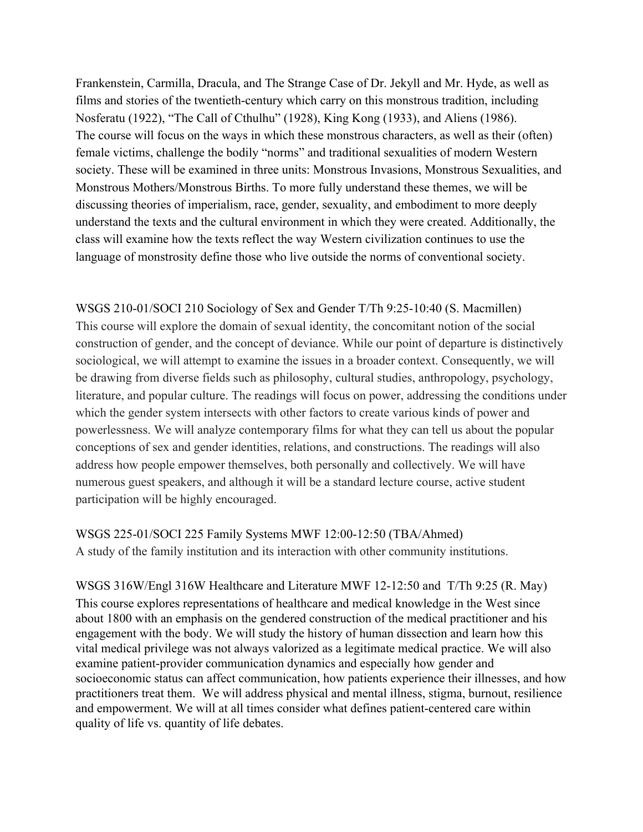Frankenstein, Carmilla, Dracula, and The Strange Case of Dr. Jekyll and Mr. Hyde, as well as films and stories of the twentieth-century which carry on this monstrous tradition, including Nosferatu (1922), "The Call of Cthulhu" (1928), King Kong (1933), and Aliens (1986). The course will focus on the ways in which these monstrous characters, as well as their (often) female victims, challenge the bodily "norms" and traditional sexualities of modern Western society. These will be examined in three units: Monstrous Invasions, Monstrous Sexualities, and Monstrous Mothers/Monstrous Births. To more fully understand these themes, we will be discussing theories of imperialism, race, gender, sexuality, and embodiment to more deeply understand the texts and the cultural environment in which they were created. Additionally, the class will examine how the texts reflect the way Western civilization continues to use the language of monstrosity define those who live outside the norms of conventional society.

WSGS 210-01/SOCI 210 Sociology of Sex and Gender T/Th 9:25-10:40 (S. Macmillen) This course will explore the domain of sexual identity, the concomitant notion of the social construction of gender, and the concept of deviance. While our point of departure is distinctively sociological, we will attempt to examine the issues in a broader context. Consequently, we will be drawing from diverse fields such as philosophy, cultural studies, anthropology, psychology, literature, and popular culture. The readings will focus on power, addressing the conditions under which the gender system intersects with other factors to create various kinds of power and powerlessness. We will analyze contemporary films for what they can tell us about the popular conceptions of sex and gender identities, relations, and constructions. The readings will also address how people empower themselves, both personally and collectively. We will have numerous guest speakers, and although it will be a standard lecture course, active student participation will be highly encouraged.

WSGS 225-01/SOCI 225 Family Systems MWF 12:00-12:50 (TBA/Ahmed) A study of the family institution and its interaction with other community institutions.

WSGS 316W/Engl 316W Healthcare and Literature MWF 12-12:50 and T/Th 9:25 (R. May) This course explores representations of healthcare and medical knowledge in the West since about 1800 with an emphasis on the gendered construction of the medical practitioner and his engagement with the body. We will study the history of human dissection and learn how this vital medical privilege was not always valorized as a legitimate medical practice. We will also examine patient-provider communication dynamics and especially how gender and socioeconomic status can affect communication, how patients experience their illnesses, and how practitioners treat them. We will address physical and mental illness, stigma, burnout, resilience and empowerment. We will at all times consider what defines patient-centered care within quality of life vs. quantity of life debates.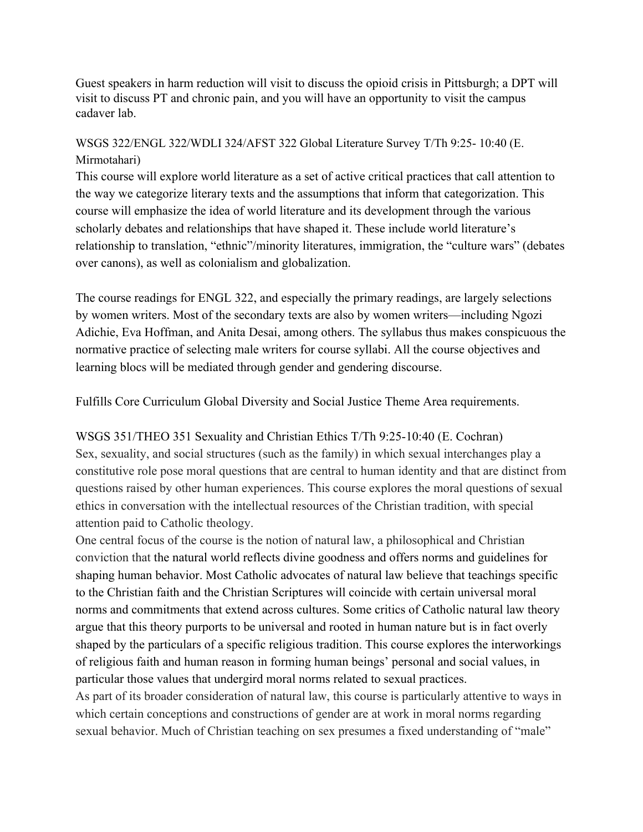Guest speakers in harm reduction will visit to discuss the opioid crisis in Pittsburgh; a DPT will visit to discuss PT and chronic pain, and you will have an opportunity to visit the campus cadaver lab.

## WSGS 322/ENGL 322/WDLI 324/AFST 322 Global Literature Survey T/Th 9:25- 10:40 (E. Mirmotahari)

This course will explore world literature as a set of active critical practices that call attention to the way we categorize literary texts and the assumptions that inform that categorization. This course will emphasize the idea of world literature and its development through the various scholarly debates and relationships that have shaped it. These include world literature's relationship to translation, "ethnic"/minority literatures, immigration, the "culture wars" (debates over canons), as well as colonialism and globalization.

The course readings for ENGL 322, and especially the primary readings, are largely selections by women writers. Most of the secondary texts are also by women writers—including Ngozi Adichie, Eva Hoffman, and Anita Desai, among others. The syllabus thus makes conspicuous the normative practice of selecting male writers for course syllabi. All the course objectives and learning blocs will be mediated through gender and gendering discourse.

Fulfills Core Curriculum Global Diversity and Social Justice Theme Area requirements.

WSGS 351/THEO 351 Sexuality and Christian Ethics T/Th 9:25-10:40 (E. Cochran) Sex, sexuality, and social structures (such as the family) in which sexual interchanges play a constitutive role pose moral questions that are central to human identity and that are distinct from questions raised by other human experiences. This course explores the moral questions of sexual ethics in conversation with the intellectual resources of the Christian tradition, with special attention paid to Catholic theology.

One central focus of the course is the notion of natural law, a philosophical and Christian conviction that the natural world reflects divine goodness and offers norms and guidelines for shaping human behavior. Most Catholic advocates of natural law believe that teachings specific to the Christian faith and the Christian Scriptures will coincide with certain universal moral norms and commitments that extend across cultures. Some critics of Catholic natural law theory argue that this theory purports to be universal and rooted in human nature but is in fact overly shaped by the particulars of a specific religious tradition. This course explores the interworkings of religious faith and human reason in forming human beings' personal and social values, in particular those values that undergird moral norms related to sexual practices.

As part of its broader consideration of natural law, this course is particularly attentive to ways in which certain conceptions and constructions of gender are at work in moral norms regarding sexual behavior. Much of Christian teaching on sex presumes a fixed understanding of "male"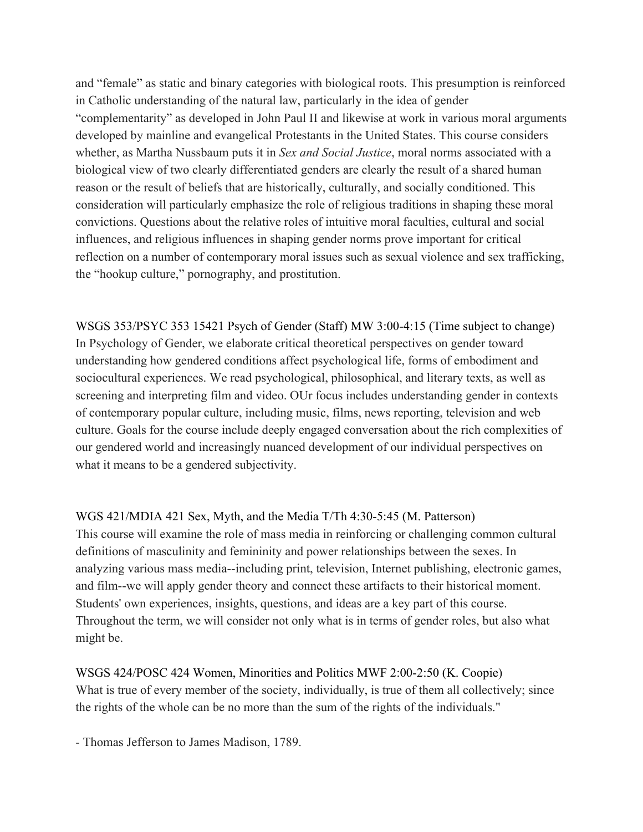and "female" as static and binary categories with biological roots. This presumption is reinforced in Catholic understanding of the natural law, particularly in the idea of gender "complementarity" as developed in John Paul II and likewise at work in various moral arguments developed by mainline and evangelical Protestants in the United States. This course considers whether, as Martha Nussbaum puts it in *Sex and Social Justice*, moral norms associated with a biological view of two clearly differentiated genders are clearly the result of a shared human reason or the result of beliefs that are historically, culturally, and socially conditioned. This consideration will particularly emphasize the role of religious traditions in shaping these moral convictions. Questions about the relative roles of intuitive moral faculties, cultural and social influences, and religious influences in shaping gender norms prove important for critical reflection on a number of contemporary moral issues such as sexual violence and sex trafficking, the "hookup culture," pornography, and prostitution.

WSGS 353/PSYC 353 15421 Psych of Gender (Staff) MW 3:00-4:15 (Time subject to change) In Psychology of Gender, we elaborate critical theoretical perspectives on gender toward understanding how gendered conditions affect psychological life, forms of embodiment and sociocultural experiences. We read psychological, philosophical, and literary texts, as well as screening and interpreting film and video. OUr focus includes understanding gender in contexts of contemporary popular culture, including music, films, news reporting, television and web culture. Goals for the course include deeply engaged conversation about the rich complexities of our gendered world and increasingly nuanced development of our individual perspectives on what it means to be a gendered subjectivity.

WGS 421/MDIA 421 Sex, Myth, and the Media T/Th 4:30-5:45 (M. Patterson) This course will examine the role of mass media in reinforcing or challenging common cultural definitions of masculinity and femininity and power relationships between the sexes. In analyzing various mass media--including print, television, Internet publishing, electronic games, and film--we will apply gender theory and connect these artifacts to their historical moment. Students' own experiences, insights, questions, and ideas are a key part of this course. Throughout the term, we will consider not only what is in terms of gender roles, but also what might be.

WSGS 424/POSC 424 Women, Minorities and Politics MWF 2:00-2:50 (K. Coopie) What is true of every member of the society, individually, is true of them all collectively; since the rights of the whole can be no more than the sum of the rights of the individuals."

- Thomas Jefferson to James Madison, 1789.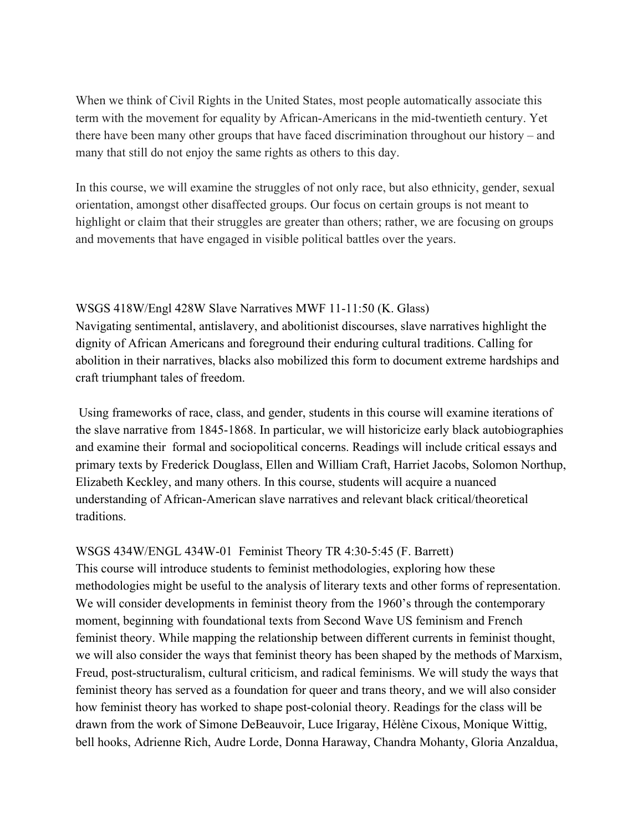When we think of Civil Rights in the United States, most people automatically associate this term with the movement for equality by African-Americans in the mid-twentieth century. Yet there have been many other groups that have faced discrimination throughout our history – and many that still do not enjoy the same rights as others to this day.

In this course, we will examine the struggles of not only race, but also ethnicity, gender, sexual orientation, amongst other disaffected groups. Our focus on certain groups is not meant to highlight or claim that their struggles are greater than others; rather, we are focusing on groups and movements that have engaged in visible political battles over the years.

#### WSGS 418W/Engl 428W Slave Narratives MWF 11-11:50 (K. Glass)

Navigating sentimental, antislavery, and abolitionist discourses, slave narratives highlight the dignity of African Americans and foreground their enduring cultural traditions. Calling for abolition in their narratives, blacks also mobilized this form to document extreme hardships and craft triumphant tales of freedom.

 Using frameworks of race, class, and gender, students in this course will examine iterations of the slave narrative from 1845-1868. In particular, we will historicize early black autobiographies and examine their formal and sociopolitical concerns. Readings will include critical essays and primary texts by Frederick Douglass, Ellen and William Craft, Harriet Jacobs, Solomon Northup, Elizabeth Keckley, and many others. In this course, students will acquire a nuanced understanding of African-American slave narratives and relevant black critical/theoretical traditions.

WSGS 434W/ENGL 434W-01 Feminist Theory TR 4:30-5:45 (F. Barrett) This course will introduce students to feminist methodologies, exploring how these methodologies might be useful to the analysis of literary texts and other forms of representation. We will consider developments in feminist theory from the 1960's through the contemporary moment, beginning with foundational texts from Second Wave US feminism and French feminist theory. While mapping the relationship between different currents in feminist thought, we will also consider the ways that feminist theory has been shaped by the methods of Marxism, Freud, post-structuralism, cultural criticism, and radical feminisms. We will study the ways that feminist theory has served as a foundation for queer and trans theory, and we will also consider how feminist theory has worked to shape post-colonial theory. Readings for the class will be drawn from the work of Simone DeBeauvoir, Luce Irigaray, Hélène Cixous, Monique Wittig, bell hooks, Adrienne Rich, Audre Lorde, Donna Haraway, Chandra Mohanty, Gloria Anzaldua,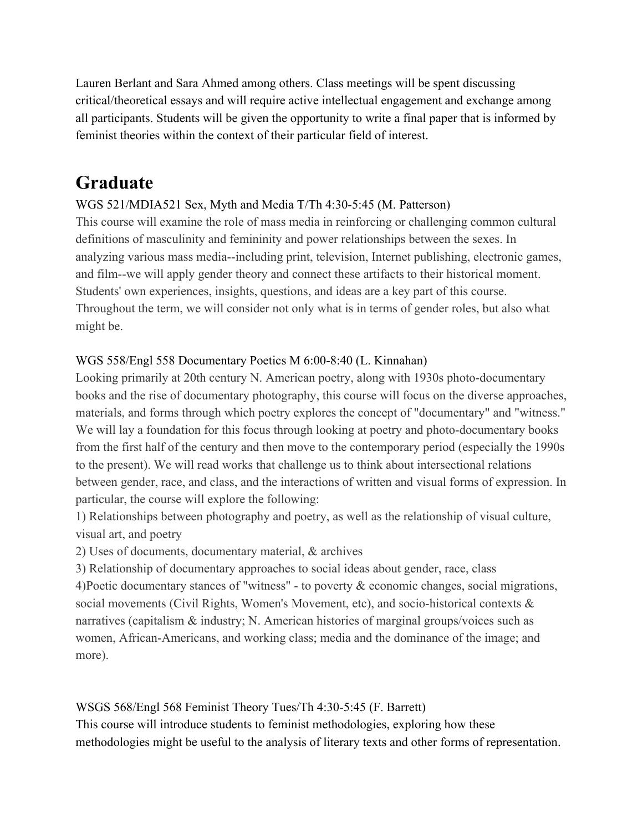Lauren Berlant and Sara Ahmed among others. Class meetings will be spent discussing critical/theoretical essays and will require active intellectual engagement and exchange among all participants. Students will be given the opportunity to write a final paper that is informed by feminist theories within the context of their particular field of interest.

## **Graduate**

## WGS 521/MDIA521 Sex, Myth and Media T/Th 4:30-5:45 (M. Patterson)

This course will examine the role of mass media in reinforcing or challenging common cultural definitions of masculinity and femininity and power relationships between the sexes. In analyzing various mass media--including print, television, Internet publishing, electronic games, and film--we will apply gender theory and connect these artifacts to their historical moment. Students' own experiences, insights, questions, and ideas are a key part of this course. Throughout the term, we will consider not only what is in terms of gender roles, but also what might be.

## WGS 558/Engl 558 Documentary Poetics M 6:00-8:40 (L. Kinnahan)

Looking primarily at 20th century N. American poetry, along with 1930s photo-documentary books and the rise of documentary photography, this course will focus on the diverse approaches, materials, and forms through which poetry explores the concept of "documentary" and "witness." We will lay a foundation for this focus through looking at poetry and photo-documentary books from the first half of the century and then move to the contemporary period (especially the 1990s to the present). We will read works that challenge us to think about intersectional relations between gender, race, and class, and the interactions of written and visual forms of expression. In particular, the course will explore the following:

1) Relationships between photography and poetry, as well as the relationship of visual culture, visual art, and poetry

2) Uses of documents, documentary material, & archives

3) Relationship of documentary approaches to social ideas about gender, race, class 4)Poetic documentary stances of "witness" - to poverty & economic changes, social migrations, social movements (Civil Rights, Women's Movement, etc), and socio-historical contexts & narratives (capitalism  $\&$  industry; N. American histories of marginal groups/voices such as women, African-Americans, and working class; media and the dominance of the image; and more).

WSGS 568/Engl 568 Feminist Theory Tues/Th 4:30-5:45 (F. Barrett) This course will introduce students to feminist methodologies, exploring how these methodologies might be useful to the analysis of literary texts and other forms of representation.